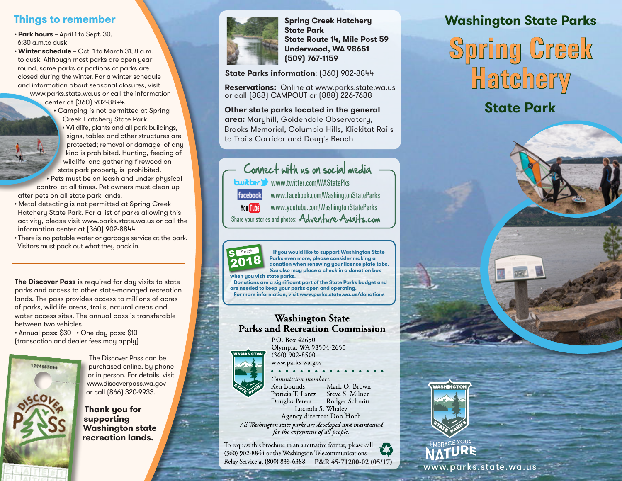## **Things to remember**

- **Park hours**  April 1 to Sept. 30, 6:30 a.m.to dusk
- **Winter schedule** Oct. 1 to March 31, 8 a.m. to dusk. Although most parks are open year round, some parks or portions of parks are closed during the winter. For a winter schedule and information about seasonal closures, visit
	- www.parks.state.wa.us or call the information center at (360) 902-8844.
		- Camping is not permitted at Spring Creek Hatchery State Park.
		- Wildlife, plants and all park buildings, signs, tables and other structures are protected; removal or damage of any kind is prohibited. Hunting, feeding of wildlife and gathering firewood on state park property is prohibited.

• Pets must be on leash and under physical control at all times. Pet owners must clean up

- after pets on all state park lands.
- Metal detecting is not permitted at Spring Creek Hatchery State Park. For a list of parks allowing this activity, please visit www.parks.state.wa.us or call the information center at (360) 902-8844.
- There is no potable water or garbage service at the park. Visitors must pack out what they pack in.

**The Discover Pass** is required for day visits to state parks and access to other state-managed recreation lands. The pass provides access to millions of acres of parks, wildlife areas, trails, natural areas and water-access sites. The annual pass is transferable between two vehicles.

• Annual pass: \$30 • One-day pass: \$10 (transaction and dealer fees may apply)



The Discover Pass can be purchased online, by phone or in person. For details, visit www.discoverpass.wa.gov or call (866) 320-9933.

**Thank you for supporting Washington state recreation lands.**



**State Route 14, Mile Post 59 Underwood, WA 98651 (509) 767-1159**

**State Parks information**: (360) 902-8844

**Reservations:** Online at www.parks.state.wa.us or call (888) CAMPOUT or (888) 226-7688

**Other state parks located in the general area:** Maryhill, Goldendale Observatory, Brooks Memorial, Columbia Hills, Klickitat Rails to Trails Corridor and Doug's Beach

Connect with us on social media www.twitter.com/WAStatePks facebook www.facebook.com/WashingtonStateParks www.youtube.com/WashingtonStateParks You Tube Share your stories and photos: Adventure Awalts.com



S Sample

2019 S Sample

 **If you would like to support Washington State Parks even more, please consider making a donation when renewing your license plate tabs. You also may place a check in a donation box when you visit state parks.** 

2016 **are needed to keep your parks open and operating. For more information, visit www.parks.state.wa.us/donationsDonations are a significant part of the State Parks budget and** 

## **Washington State Parks and Recreation Commission**



P.O. Box 42650 Olympia, WA 98504-2650  $(360)$  902-8500

www.parks.wa.gov

#### Commission members: Mark O. Brown Ken Bounds Patricia T. Lantz Steve S. Milner Rodger Schmitt Douglas Peters Lucinda S. Whaley Agency director: Don Hoch

All Washington state parks are developed and maintained for the enjoyment of all people.

To request this brochure in an alternative format, please call (360) 902-8844 or the Washington Telecommunications Relay Service at (800) 833-6388. **P&R 45-71200-02 (05/17)** 

## **Spring Creek Hatchery Washington State Parks State Park**

**Spring Creek Hatchery**

## **State Park**